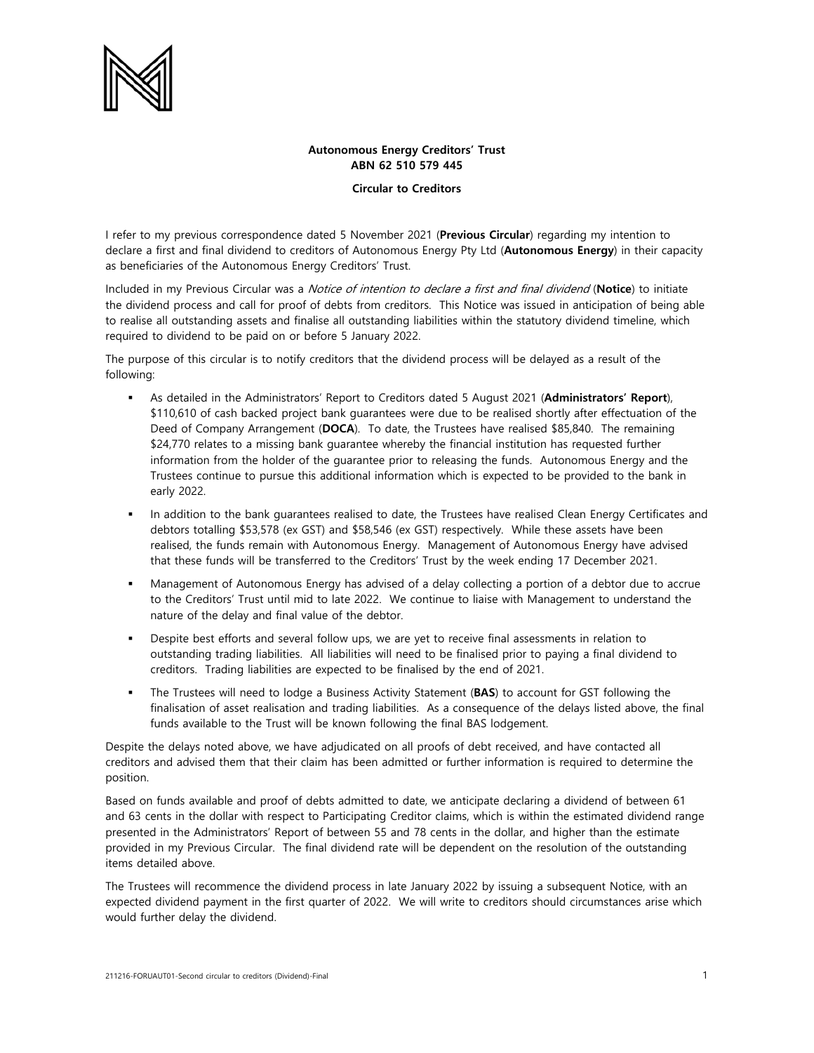

## **Autonomous Energy Creditors' Trust ABN 62 510 579 445**

**Circular to Creditors** 

I refer to my previous correspondence dated 5 November 2021 (**Previous Circular**) regarding my intention to declare a first and final dividend to creditors of Autonomous Energy Pty Ltd (**Autonomous Energy**) in their capacity as beneficiaries of the Autonomous Energy Creditors' Trust.

Included in my Previous Circular was a Notice of intention to declare a first and final dividend (**Notice**) to initiate the dividend process and call for proof of debts from creditors. This Notice was issued in anticipation of being able to realise all outstanding assets and finalise all outstanding liabilities within the statutory dividend timeline, which required to dividend to be paid on or before 5 January 2022.

The purpose of this circular is to notify creditors that the dividend process will be delayed as a result of the following:

- As detailed in the Administrators' Report to Creditors dated 5 August 2021 (**Administrators' Report**), \$110,610 of cash backed project bank guarantees were due to be realised shortly after effectuation of the Deed of Company Arrangement (**DOCA**). To date, the Trustees have realised \$85,840. The remaining \$24,770 relates to a missing bank guarantee whereby the financial institution has requested further information from the holder of the guarantee prior to releasing the funds. Autonomous Energy and the Trustees continue to pursue this additional information which is expected to be provided to the bank in early 2022.
- In addition to the bank guarantees realised to date, the Trustees have realised Clean Energy Certificates and debtors totalling \$53,578 (ex GST) and \$58,546 (ex GST) respectively. While these assets have been realised, the funds remain with Autonomous Energy. Management of Autonomous Energy have advised that these funds will be transferred to the Creditors' Trust by the week ending 17 December 2021.
- Management of Autonomous Energy has advised of a delay collecting a portion of a debtor due to accrue to the Creditors' Trust until mid to late 2022. We continue to liaise with Management to understand the nature of the delay and final value of the debtor.
- **Despite best efforts and several follow ups, we are yet to receive final assessments in relation to** outstanding trading liabilities. All liabilities will need to be finalised prior to paying a final dividend to creditors. Trading liabilities are expected to be finalised by the end of 2021.
- The Trustees will need to lodge a Business Activity Statement (**BAS**) to account for GST following the finalisation of asset realisation and trading liabilities. As a consequence of the delays listed above, the final funds available to the Trust will be known following the final BAS lodgement.

Despite the delays noted above, we have adjudicated on all proofs of debt received, and have contacted all creditors and advised them that their claim has been admitted or further information is required to determine the position.

Based on funds available and proof of debts admitted to date, we anticipate declaring a dividend of between 61 and 63 cents in the dollar with respect to Participating Creditor claims, which is within the estimated dividend range presented in the Administrators' Report of between 55 and 78 cents in the dollar, and higher than the estimate provided in my Previous Circular. The final dividend rate will be dependent on the resolution of the outstanding items detailed above.

The Trustees will recommence the dividend process in late January 2022 by issuing a subsequent Notice, with an expected dividend payment in the first quarter of 2022. We will write to creditors should circumstances arise which would further delay the dividend.